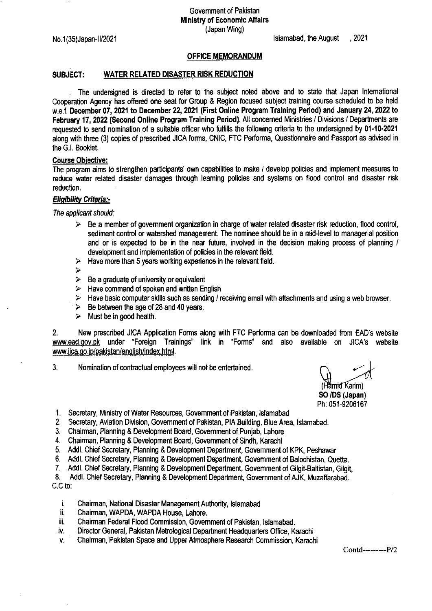Govemment of Pakistan Ministry of Economic Affairs (Japan Wing)

No.1(35)Japan-1U2021 lslamabad, the August ,2021

## OFFICE MEMORANDUM

## SUBJECT: WATER RELATED DISASTER RISK REDUCTION

The undersigned is directed to refer to the subject noted above and to state that Japan lntemational Cooperation Agency has ofiered one seat for Group & Region focused subject training course scheduled to be held w.e.f. December 07, 2021 to December 22, 2021 (First Online Program Training Period) and January 24, 2022 to February 17, 2022 (Second Online Program Training Period). All concemed Ministries / Divisions / Departments are requested to send nomination of a suitable officer who fulfills the following criteria to the undersigned by 01-10-2021 along with three (3) copies of prescribed JICA foms, CNIC, FTC Performa, Questionnaire and Passport as advised in the G.l. Booklet.

## Course Obiective:

The program aims to strengthen participants' own capabilities to make / develop policies and implement measures to reduce water related disaster damages through leaming policies and systems on flood control and disaster risk reduction.

## Eligibility Criteria.-

The applicant should:

- $\triangleright$  Be a member of government organization in charge of water related disaster risk reduction, flood control, sediment control or watershed management. The nominee should be in a mid-level to managerial position and or is expected to be in the near future, involved in the decision making process of planning / development and implementation of policies in the relevant field.
- $\blacktriangleright$ Have more than 5 years working experience in the relevant field.
- $\blacktriangleright$
- $\triangleright$  Be a graduate of university or equivalent
- $\triangleright$  Have command of spoken and written English
- $\triangleright$  Have basic computer skills such as sending / receiving email with attachments and using a web browser.
- $\triangleright$  Be between the age of 28 and 40 years.
- $\triangleright$  Must be in good health.

2. New prescribed JICA Application Forms along with FTC Performa can be downloaded from EAD's website www.ead.qov.pk under "Foreign Trainings' link in "Forms" and also available on JICA's website www.jica.go.jp/pakistan/english/index.html.

3. Nomination of contractual employees will not be entertained.

(Hämid Karim) SO /DS (Japan) Ph: 051-9206167

1. Secretary, Ministry of Water Resources, Government of Pakistan, Islamabad

- 2. Secretary, Aviation Division, Government of Pakistan, PIA Building, Blue Area, Islamabad.
- Chairman, Planning & Development Board, Govemment of Punjab, Lahore J
- 4. Chairman, Planning & Development Board, Government of Sindh, Karach
- 5. Addl. Chief Secretary, Planning & Development Department, Government of KPK, Peshawar
- 6. Addl. Chief Secretary, Planning & Development Department, Government of Balochistan, Quetta
- 7. Addl. Chief Secretary, Planning & Development Department, Government of Gilgit-Baltistan, Gilgit,

Addl. Chief Secretary, Planning & Development Department, Govemment of AJK, Muzaffarabad. 8 C.C to:

- Chairman, National Disaster Management Authority, lslamabad t.
- Chairman, WAPDA, WAPDA House, Lahore. ii.
- Chairman Federal Flood Commission, Govemment of Pakistan, lslamabad. iii.
- Director General, Pakistan Metrological Department Headquartes Office, Karachi iv.
- Chairman, Pakistan Space and Upper Atmosphere Research Commission, Karachi V.

Contd------P/2